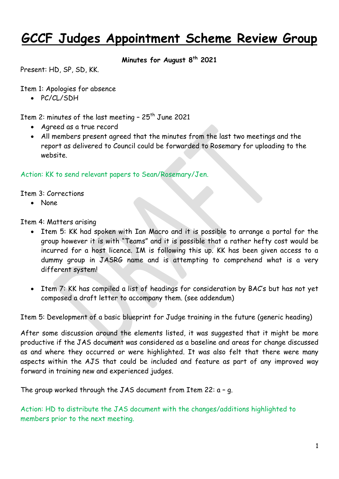## **GCCF Judges Appointment Scheme Review Group**

## **Minutes for August 8th 2021**

Present: HD, SP, SD, KK.

Item 1: Apologies for absence

• PC/CL/SDH

Item 2: minutes of the last meeting -  $25<sup>th</sup>$  June 2021

- Agreed as a true record
- All members present agreed that the minutes from the last two meetings and the report as delivered to Council could be forwarded to Rosemary for uploading to the website.

Action: KK to send relevant papers to Sean/Rosemary/Jen.

Item 3: Corrections

None

Item 4: Matters arising

- Item 5: KK had spoken with Ian Macro and it is possible to arrange a portal for the group however it is with "Teams" and it is possible that a rather hefty cost would be incurred for a host licence. IM is following this up. KK has been given access to a dummy group in JASRG name and is attempting to comprehend what is a very different system!
- Item 7: KK has compiled a list of headings for consideration by BAC's but has not yet composed a draft letter to accompany them. (see addendum)

Item 5: Development of a basic blueprint for Judge training in the future (generic heading)

After some discussion around the elements listed, it was suggested that it might be more productive if the JAS document was considered as a baseline and areas for change discussed as and where they occurred or were highlighted. It was also felt that there were many aspects within the AJS that could be included and feature as part of any improved way forward in training new and experienced judges.

The group worked through the JAS document from Item 22: a – g.

Action: HD to distribute the JAS document with the changes/additions highlighted to members prior to the next meeting.